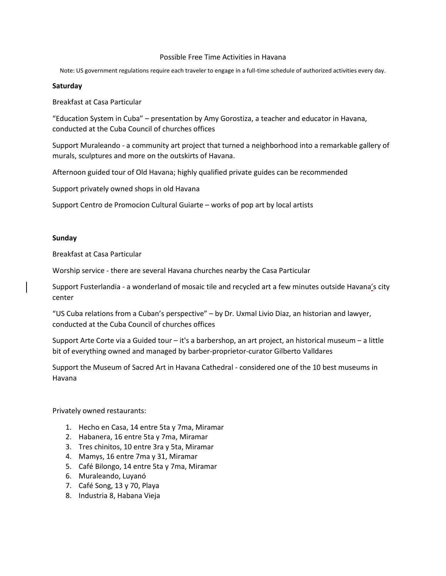## Possible Free Time Activities in Havana

Note: US government regulations require each traveler to engage in a full-time schedule of authorized activities every day.

## **Saturday**

Breakfast at Casa Particular

"Education System in Cuba" – presentation by Amy Gorostiza, a teacher and educator in Havana, conducted at the Cuba Council of churches offices

Support Muraleando - a community art project that turned a neighborhood into a remarkable gallery of murals, sculptures and more on the outskirts of Havana.

Afternoon guided tour of Old Havana; highly qualified private guides can be recommended

Support privately owned shops in old Havana

Support Centro de Promocion Cultural Guiarte – works of pop art by local artists

## **Sunday**

Breakfast at Casa Particular

Worship service - there are several Havana churches nearby the Casa Particular

Support Fusterlandia - a wonderland of mosaic tile and recycled art a few minutes outside Havana's city center

"US Cuba relations from a Cuban's perspective" – by Dr. Uxmal Livio Diaz, an historian and lawyer, conducted at the Cuba Council of churches offices

Support Arte Corte via a Guided tour – it's a barbershop, an art project, an historical museum – a little bit of everything owned and managed by barber-proprietor-curator Gilberto Valldares

Support the Museum of Sacred Art in Havana Cathedral - considered one of the 10 best museums in Havana

Privately owned restaurants:

- 1. Hecho en Casa, 14 entre 5ta y 7ma, Miramar
- 2. Habanera, 16 entre 5ta y 7ma, Miramar
- 3. Tres chinitos, 10 entre 3ra y 5ta, Miramar
- 4. Mamys, 16 entre 7ma y 31, Miramar
- 5. Café Bilongo, 14 entre 5ta y 7ma, Miramar
- 6. Muraleando, Luyanó
- 7. Café Song, 13 y 70, Playa
- 8. Industria 8, Habana Vieja